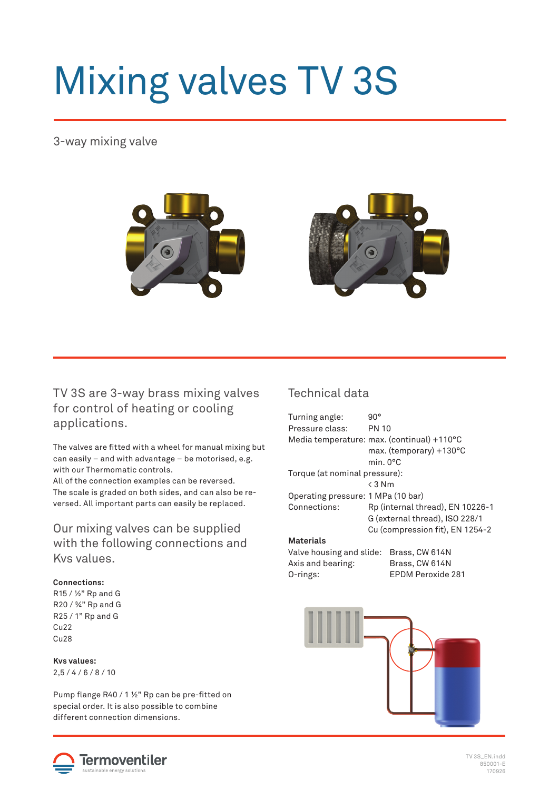# Mixing valves TV 3S

# 3-way mixing valve



# TV 3S are 3-way brass mixing valves for control of heating or cooling applications.

The valves are fitted with a wheel for manual mixing but can easily – and with advantage – be motorised, e.g. with our Thermomatic controls.

All of the connection examples can be reversed. The scale is graded on both sides, and can also be reversed. All important parts can easily be replaced.

# Our mixing valves can be supplied with the following connections and Kvs values.

#### **Connections:**

R15 / ½" Rp and G R20 / ¾" Rp and G R25 / 1" Rp and G Cu22 Cu28

**Kvs values:**  $2,5 / 4 / 6 / 8 / 10$ 

Pump flange R40 / 1  $\frac{1}{2}$ " Rp can be pre-fitted on special order. It is also possible to combine different connection dimensions.

## Technical data

| Turning angle:<br>Pressure class:  | 90°                                        |  |  |  |  |
|------------------------------------|--------------------------------------------|--|--|--|--|
|                                    | <b>PN 10</b>                               |  |  |  |  |
|                                    | Media temperature: max. (continual) +110°C |  |  |  |  |
|                                    | max. (temporary) +130°C                    |  |  |  |  |
|                                    | min.0°C                                    |  |  |  |  |
| Torque (at nominal pressure):      |                                            |  |  |  |  |
|                                    | $\leq$ 3 Nm                                |  |  |  |  |
| Operating pressure: 1 MPa (10 bar) |                                            |  |  |  |  |
| Connections:                       | Rp (internal thread), EN 10226-1           |  |  |  |  |
|                                    | G (external thread), ISO 228/1             |  |  |  |  |
|                                    | Cu (compression fit), EN 1254-2            |  |  |  |  |
| <b>Materials</b>                   |                                            |  |  |  |  |
| Valve housing and slide:           | Brass, CW 614N                             |  |  |  |  |
| Axis and bearing:                  | Brass, CW 614N                             |  |  |  |  |
| O-rings:                           | FPDM Peroxide 281                          |  |  |  |  |
|                                    |                                            |  |  |  |  |





TV 3S\_EN.indd 850001-E 170926